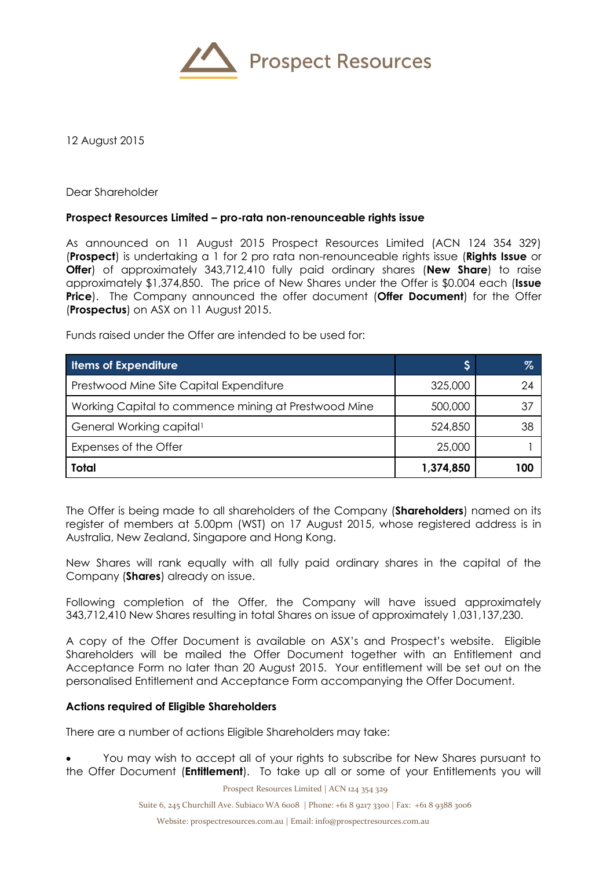

12 August 2015

Dear Shareholder

## **Prospect Resources Limited – pro-rata non-renounceable rights issue**

As announced on 11 August 2015 Prospect Resources Limited (ACN 124 354 329) (**Prospect**) is undertaking a 1 for 2 pro rata non-renounceable rights issue (**Rights Issue** or **Offer**) of approximately 343,712,410 fully paid ordinary shares (**New Share**) to raise approximately \$1,374,850. The price of New Shares under the Offer is \$0.004 each (**Issue Price**). The Company announced the offer document (**Offer Document**) for the Offer (**Prospectus**) on ASX on 11 August 2015.

Funds raised under the Offer are intended to be used for:

| <b>Ilems of Expenditure</b>                          |           | Z   |
|------------------------------------------------------|-----------|-----|
| Prestwood Mine Site Capital Expenditure              | 325,000   | 24  |
| Working Capital to commence mining at Prestwood Mine | 500,000   | 37  |
| General Working capital                              | 524,850   | 38  |
| Expenses of the Offer                                | 25,000    |     |
| Total                                                | 1,374,850 | 100 |

The Offer is being made to all shareholders of the Company (**Shareholders**) named on its register of members at 5.00pm (WST) on 17 August 2015, whose registered address is in Australia, New Zealand, Singapore and Hong Kong.

New Shares will rank equally with all fully paid ordinary shares in the capital of the Company (**Shares**) already on issue.

Following completion of the Offer, the Company will have issued approximately 343,712,410 New Shares resulting in total Shares on issue of approximately 1,031,137,230.

A copy of the Offer Document is available on ASX's and Prospect's website. Eligible Shareholders will be mailed the Offer Document together with an Entitlement and Acceptance Form no later than 20 August 2015. Your entitlement will be set out on the personalised Entitlement and Acceptance Form accompanying the Offer Document.

## **Actions required of Eligible Shareholders**

There are a number of actions Eligible Shareholders may take:

 You may wish to accept all of your rights to subscribe for New Shares pursuant to the Offer Document (**Entitlement**). To take up all or some of your Entitlements you will

Prospect Resources Limited | ACN 124 354 329

Suite 6, 245 Churchill Ave. Subiaco WA 6008 | Phone: +61 8 9217 3300 | Fax: +61 8 9388 3006

Website: prospectresources.com.au | Email: info@prospectresources.com.au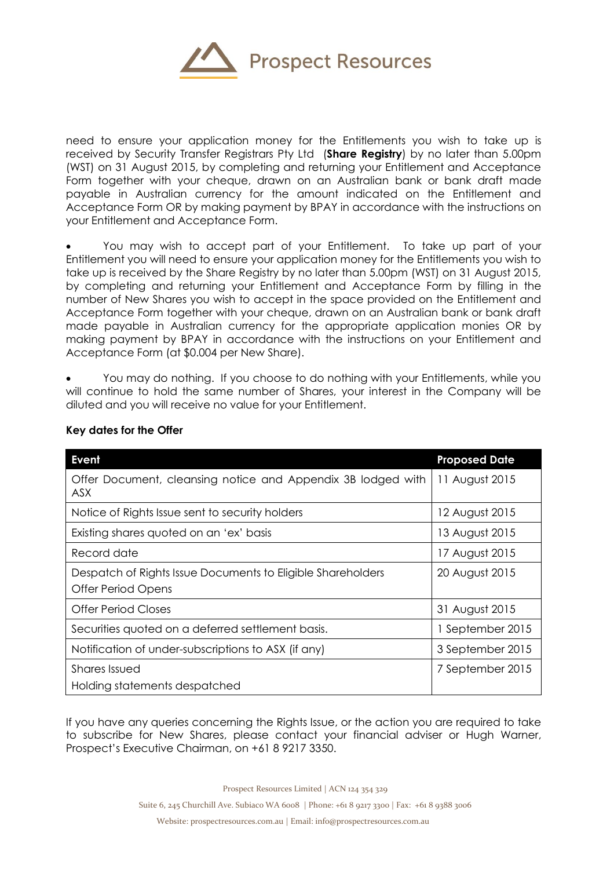

need to ensure your application money for the Entitlements you wish to take up is received by Security Transfer Registrars Pty Ltd (**Share Registry**) by no later than 5.00pm (WST) on 31 August 2015, by completing and returning your Entitlement and Acceptance Form together with your cheque, drawn on an Australian bank or bank draft made payable in Australian currency for the amount indicated on the Entitlement and Acceptance Form OR by making payment by BPAY in accordance with the instructions on your Entitlement and Acceptance Form.

 You may wish to accept part of your Entitlement. To take up part of your Entitlement you will need to ensure your application money for the Entitlements you wish to take up is received by the Share Registry by no later than 5.00pm (WST) on 31 August 2015, by completing and returning your Entitlement and Acceptance Form by filling in the number of New Shares you wish to accept in the space provided on the Entitlement and Acceptance Form together with your cheque, drawn on an Australian bank or bank draft made payable in Australian currency for the appropriate application monies OR by making payment by BPAY in accordance with the instructions on your Entitlement and Acceptance Form (at \$0.004 per New Share).

 You may do nothing. If you choose to do nothing with your Entitlements, while you will continue to hold the same number of Shares, your interest in the Company will be diluted and you will receive no value for your Entitlement.

| Event                                                                                    | <b>Proposed Date</b> |
|------------------------------------------------------------------------------------------|----------------------|
| Offer Document, cleansing notice and Appendix 3B lodged with<br>ASX.                     | 11 August 2015       |
| Notice of Rights Issue sent to security holders                                          | 12 August 2015       |
| Existing shares quoted on an 'ex' basis                                                  | 13 August 2015       |
| Record date                                                                              | 17 August 2015       |
| Despatch of Rights Issue Documents to Eligible Shareholders<br><b>Offer Period Opens</b> | 20 August 2015       |
| Offer Period Closes                                                                      | 31 August 2015       |
| Securities quoted on a deferred settlement basis.                                        | 1 September 2015     |
| Notification of under-subscriptions to ASX (if any)                                      | 3 September 2015     |
| <b>Shares Issued</b><br>Holding statements despatched                                    | 7 September 2015     |

## **Key dates for the Offer**

If you have any queries concerning the Rights Issue, or the action you are required to take to subscribe for New Shares, please contact your financial adviser or Hugh Warner, Prospect's Executive Chairman, on +61 8 9217 3350.

Prospect Resources Limited | ACN 124 354 329

Suite 6, 245 Churchill Ave. Subiaco WA 6008 | Phone: +61 8 9217 3300 | Fax: +61 8 9388 3006

Website: prospectresources.com.au | Email: info@prospectresources.com.au